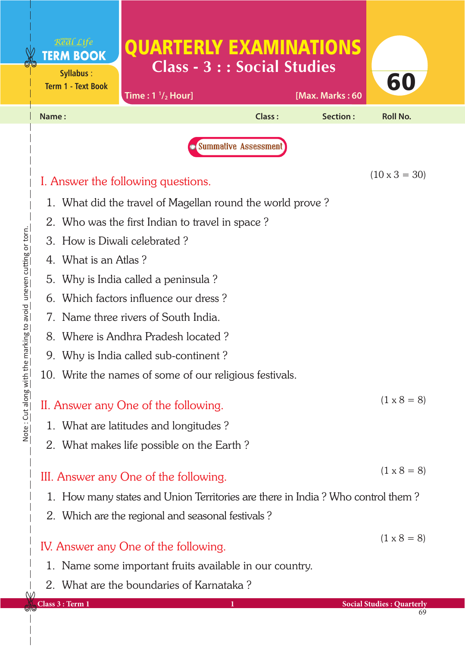|                       | Real Life<br><b>TERM BOOK</b><br><b>Syllabus:</b><br><b>Term 1 - Text Book</b> | <b>QUARTERLY EXAMINATIONS</b><br><b>Class - 3 : : Social Studies</b><br>Time: $1 \frac{1}{2}$ Hour] |                             | [Max. Marks: 60 | 60                                     |  |  |  |
|-----------------------|--------------------------------------------------------------------------------|-----------------------------------------------------------------------------------------------------|-----------------------------|-----------------|----------------------------------------|--|--|--|
|                       | Name:                                                                          |                                                                                                     | <b>Class:</b>               | Section:        | <b>Roll No.</b>                        |  |  |  |
|                       |                                                                                |                                                                                                     | <b>Summative Assessment</b> |                 |                                        |  |  |  |
|                       |                                                                                | I. Answer the following questions.                                                                  |                             |                 | $(10 \times 3 = 30)$                   |  |  |  |
|                       |                                                                                | 1. What did the travel of Magellan round the world prove?                                           |                             |                 |                                        |  |  |  |
|                       |                                                                                | 2. Who was the first Indian to travel in space?                                                     |                             |                 |                                        |  |  |  |
|                       | 3. How is Diwali celebrated?                                                   |                                                                                                     |                             |                 |                                        |  |  |  |
|                       | 4. What is an Atlas?                                                           |                                                                                                     |                             |                 |                                        |  |  |  |
|                       | 5. Why is India called a peninsula?                                            |                                                                                                     |                             |                 |                                        |  |  |  |
|                       | 6. Which factors influence our dress?                                          |                                                                                                     |                             |                 |                                        |  |  |  |
|                       | 7. Name three rivers of South India.                                           |                                                                                                     |                             |                 |                                        |  |  |  |
|                       |                                                                                | 8. Where is Andhra Pradesh located?                                                                 |                             |                 |                                        |  |  |  |
|                       |                                                                                | 9. Why is India called sub-continent?                                                               |                             |                 |                                        |  |  |  |
|                       |                                                                                | 10. Write the names of some of our religious festivals.                                             |                             |                 |                                        |  |  |  |
| innie · chr qinig mil |                                                                                | II. Answer any One of the following.                                                                |                             |                 | $(1 \times 8 = 8)$                     |  |  |  |
|                       |                                                                                | 1. What are latitudes and longitudes?                                                               |                             |                 |                                        |  |  |  |
|                       |                                                                                | 2. What makes life possible on the Earth?                                                           |                             |                 |                                        |  |  |  |
|                       |                                                                                | III. Answer any One of the following.                                                               |                             |                 | $(1 \times 8 = 8)$                     |  |  |  |
|                       | 1. How many states and Union Territories are there in India? Who control them? |                                                                                                     |                             |                 |                                        |  |  |  |
|                       |                                                                                | 2. Which are the regional and seasonal festivals?                                                   |                             |                 |                                        |  |  |  |
|                       |                                                                                | IV. Answer any One of the following.                                                                |                             |                 | $(1 \times 8 = 8)$                     |  |  |  |
|                       |                                                                                | 1. Name some important fruits available in our country.                                             |                             |                 |                                        |  |  |  |
| W                     |                                                                                | 2. What are the boundaries of Karnataka?                                                            |                             |                 |                                        |  |  |  |
| שוש                   | Class 3 : Term 1                                                               |                                                                                                     |                             |                 | <b>Social Studies: Quarterly</b><br>69 |  |  |  |

 $\frac{1}{1}$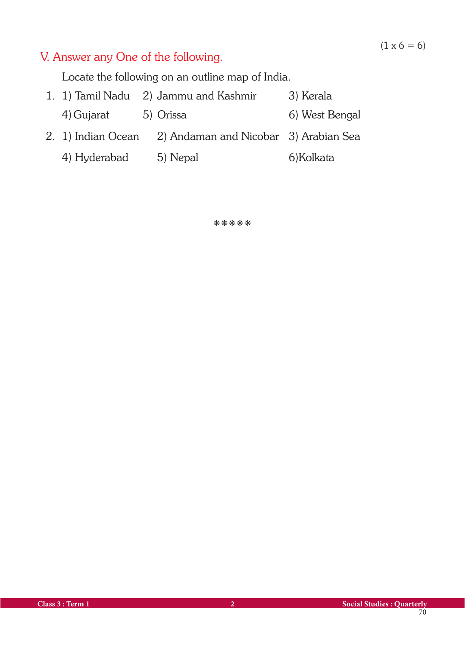## V. Answer any One of the following.

Locate the following on an outline map of India.

- 1. 1) Tamil Nadu 2) Jammu and Kashmir 3) Kerala 4) Gujarat 5) Orissa 6) West Bengal 2. 1) Indian Ocean 2) Andaman and Nicobar 3) Arabian Sea
	- 4) Hyderabad 5) Nepal 6) Kolkata

kkkkk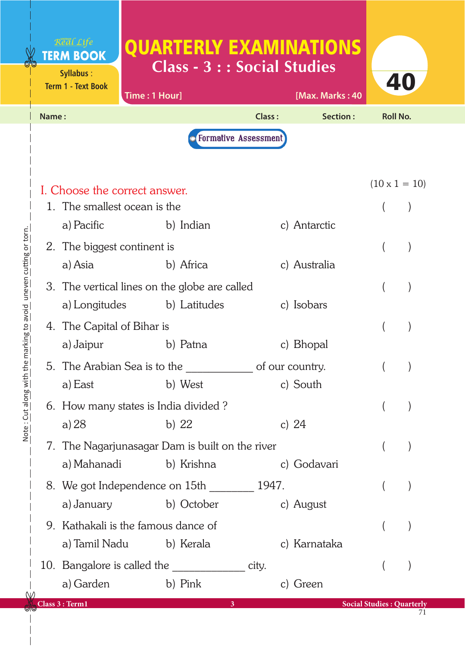## Real Life QUARTERLY EXAMINATIONS **TERM BOOK Class - 3 : : Social Studies Syllabus** : 40 **Term 1 - Text Book Time : 1 Hour] [Max. Marks : 40 Name : Class : Section : Roll No. O** Formative Assessment

| I. Choose the correct answer.                            |              |       |              |  | $(10 \times 1 = 10)$             |
|----------------------------------------------------------|--------------|-------|--------------|--|----------------------------------|
| 1. The smallest ocean is the                             |              |       |              |  |                                  |
| a) Pacific                                               | b) Indian    |       | c) Antarctic |  |                                  |
| 2. The biggest continent is                              |              |       |              |  |                                  |
| a) Asia                                                  | b) Africa    |       | c) Australia |  |                                  |
| 3. The vertical lines on the globe are called            |              |       |              |  |                                  |
| a) Longitudes b) Latitudes                               |              |       | c) Isobars   |  |                                  |
| 4. The Capital of Bihar is                               |              |       |              |  |                                  |
| a) Jaipur                                                | b) Patna     |       | c) Bhopal    |  |                                  |
| 5. The Arabian Sea is to the Section 4.5 of our country. |              |       |              |  |                                  |
| a) East                                                  | b) West      |       | c) South     |  |                                  |
| 6. How many states is India divided?                     |              |       |              |  |                                  |
| a) $28$                                                  | b) $22$      |       | c) $24$      |  |                                  |
| 7. The Nagarjunasagar Dam is built on the river          |              |       |              |  |                                  |
| a) Mahanadi                                              | b) Krishna   |       | c) Godavari  |  |                                  |
| 8. We got Independence on 15th 1947.                     |              |       |              |  |                                  |
| a) January b) October                                    |              |       | c) August    |  |                                  |
| 9. Kathakali is the famous dance of                      |              |       |              |  |                                  |
| a) Tamil Nadu b) Kerala                                  |              |       | c) Karnataka |  |                                  |
|                                                          |              | city. |              |  |                                  |
| a) Garden                                                | b) Pink      |       | c) Green     |  |                                  |
| Class 3 : Term1                                          | $\mathbf{3}$ |       |              |  | <b>Social Studies: Quarterly</b> |

 $\mathcal{N}$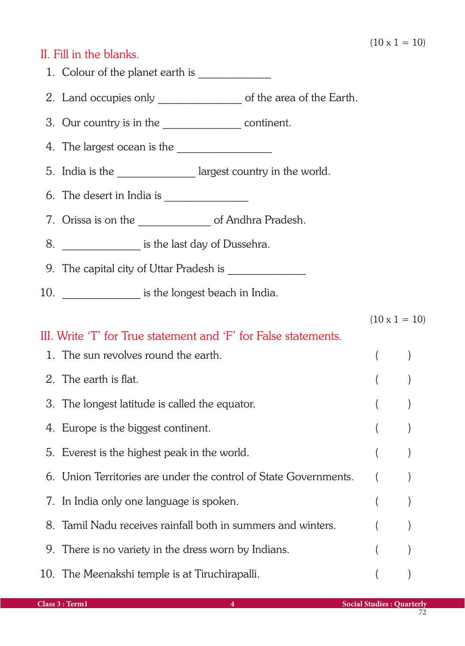## II. Fill in the blanks.

| 2. Land occupies only _______________________ of the area of the Earth.            |          |                      |
|------------------------------------------------------------------------------------|----------|----------------------|
| 3. Our country is in the ______________________ continent.                         |          |                      |
|                                                                                    |          |                      |
| 5. India is the _________________ largest country in the world.                    |          |                      |
| 6. The desert in India is $\frac{1}{2}$ measures are not in India is $\frac{1}{2}$ |          |                      |
| 7. Orissa is on the ____________________ of Andhra Pradesh.                        |          |                      |
| 8. ____________________ is the last day of Dussehra.                               |          |                      |
|                                                                                    |          |                      |
| 10. __________________ is the longest beach in India.                              |          |                      |
|                                                                                    |          | $(10 \times 1 = 10)$ |
| III. Write 'T' for True statement and 'F' for False statements.                    |          |                      |
| 1. The sun revolves round the earth.                                               | $\left($ |                      |
| 2. The earth is flat.                                                              |          |                      |
| 3. The longest latitude is called the equator.                                     |          |                      |
| 4. Europe is the biggest continent.                                                |          |                      |
| 5. Everest is the highest peak in the world.                                       |          |                      |
| 6. Union Territories are under the control of State Governments.                   |          |                      |
| 7. In India only one language is spoken.                                           |          |                      |
| 8. Tamil Nadu receives rainfall both in summers and winters.                       |          |                      |
| 9. There is no variety in the dress worn by Indians.                               |          |                      |
|                                                                                    |          |                      |

10. The Meenakshi temple is at Tiruchirapalli. (1998)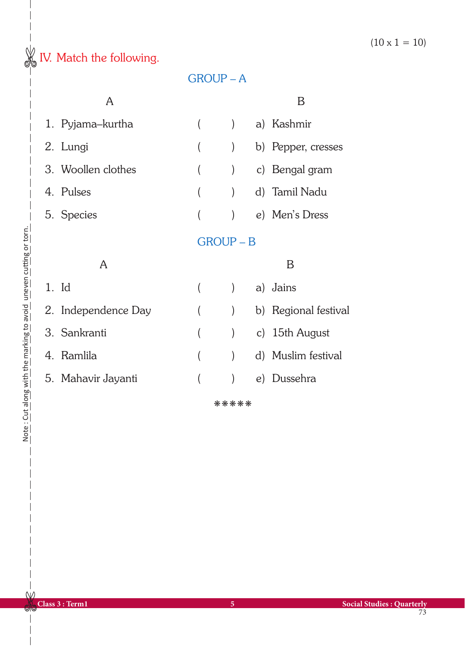$(10 \times 1 = 10)$ 

## $\frac{1}{\sqrt{2}}$  IV. Match the following.

| A                   |  |                  |  | Β                    |
|---------------------|--|------------------|--|----------------------|
| 1. Pyjama–kurtha    |  |                  |  | a) Kashmir           |
| 2. Lungi            |  |                  |  | b) Pepper, cresses   |
| 3. Woollen clothes  |  |                  |  | c) Bengal gram       |
| 4. Pulses           |  |                  |  | d) Tamil Nadu        |
| 5. Species          |  |                  |  | e) Men's Dress       |
|                     |  | <b>GROUP - B</b> |  |                      |
| A                   |  |                  |  | Β                    |
|                     |  |                  |  |                      |
| $1.$ Id             |  |                  |  | a) Jains             |
| 2. Independence Day |  | $\mathcal{E}$    |  | b) Regional festival |
| 3. Sankranti        |  |                  |  | c) 15th August       |
| 4. Ramlila          |  |                  |  | d) Muslim festival   |

GROUP – A

kkkkk

 $W$